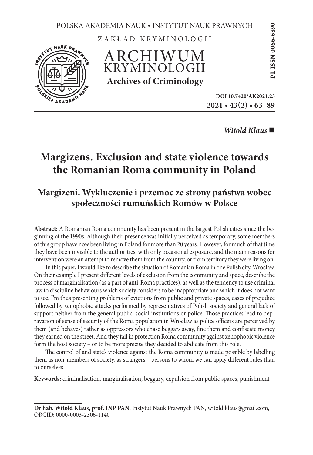EVIT S

ZAKŁAD KRYMINOLOGII

ARCHIWUM KRYMINOLOGII **Archives of Criminology**

**2021 • 43(2) • 63–89** RAWNYCH<br>
006<br>
006<br>
DOI 10.7420/AK2021.23<br>
DOI 10.7420/AK2021.23

*Witold Klaus* 

# **Margizens. Exclusion and state violence towards the Romanian Roma community in Poland**

# **Margizeni. Wykluczenie i przemoc ze strony państwa wobec społeczności rumuńskich Romów w Polsce**

**Abstract:** A Romanian Roma community has been present in the largest Polish cities since the beginning of the 1990s. Although their presence was initially perceived as temporary, some members of this group have now been living in Poland for more than 20 years. However, for much of that time they have been invisible to the authorities, with only occasional exposure, and the main reasons for intervention were an attempt to remove them from the country, or from territory they were living on.

In this paper, I would like to describe the situation of Romanian Roma in one Polish city, Wrocław. On their example I present different levels of exclusion from the community and space, describe the process of marginalisation (as a part of anti-Roma practices), as well as the tendency to use criminal law to discipline behaviours which society considers to be inappropriate and which it does not want to see. I'm thus presenting problems of evictions from public and private spaces, cases of prejudice followed by xenophobic attacks performed by representatives of Polish society and general lack of support neither from the general public, social institutions or police. Those practices lead to depravation of sense of security of the Roma population in Wrocław as police officers are perceived by them (and behaves) rather as oppressors who chase beggars away, fine them and confiscate money they earned on the street. And they fail in protection Roma community against xenophobic violence form the host society – or to be more precise they decided to abdicate from this role.

The control of and state's violence against the Roma community is made possible by labelling them as non-members of society, as strangers – persons to whom we can apply different rules than to ourselves.

**Keywords:** criminalisation, marginalisation, beggary, expulsion from public spaces, punishment

**Dr hab. Witold Klaus, prof. INP PAN**, Instytut Nauk Prawnych PAN, witold.klaus@gmail.com, ORCID: 0000-0003-2306-1140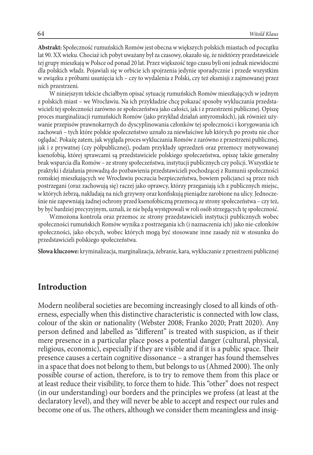**Abstrakt:** Społeczność rumuńskich Romów jest obecna w większych polskich miastach od początku lat 90. XX wieku. Chociaż ich pobyt uważany był za czasowy, okazało się, że niektórzy przedstawiciele tej grupy mieszkają w Polsce od ponad 20 lat. Przez większość tego czasu byli oni jednak niewidoczni dla polskich władz. Pojawiali się w orbicie ich spojrzenia jedynie sporadycznie i przede wszystkim w związku z próbami usunięcia ich – czy to wydalenia z Polski, czy też eksmisji z zajmowanej przez nich przestrzeni.

W niniejszym tekście chciałbym opisać sytuację rumuńskich Romów mieszkających w jednym z polskich miast – we Wrocławiu. Na ich przykładzie chcę pokazać sposoby wykluczania przedstawicieli tej społeczności zarówno ze społeczeństwa jako całości, jak i z przestrzeni publicznej. Opiszę proces marginalizacji rumuńskich Romów (jako przykład działań antyromskich), jak również używanie przepisów prawnokarnych do dyscyplinowania członków tej społeczności i korygowania ich zachowań – tych które polskie społeczeństwo uznało za niewłaściwe lub których po prostu nie chce oglądać. Pokażę zatem, jak wygląda proces wykluczania Romów z zarówno z przestrzeni publicznej, jak i z prywatnej (czy półpublicznej), podam przykłady uprzedzeń oraz przemocy motywowanej ksenofobią, której sprawcami są przedstawiciele polskiego społeczeństwa, opiszę także generalny brak wsparcia dla Romów – ze strony społeczeństwa, instytucji publicznych czy policji. Wszystkie te praktyki i działania prowadzą do pozbawienia przedstawicieli pochodzącej z Rumunii społeczności romskiej mieszkających we Wrocławiu poczucia bezpieczeństwa, bowiem policjanci są przez nich postrzegani (oraz zachowują się) raczej jako oprawcy, którzy przeganiają ich z publicznych miejsc, w których żebrzą, nakładają na nich grzywny oraz konfiskują pieniądze zarobione na ulicy. Jednocześnie nie zapewniają żadnej ochrony przed ksenofobiczną przemocą ze strony społeczeństwa – czy też, by być bardziej precyzyjnym, uznali, że nie będą występowali w roli osób strzegących tę społeczność.

Wzmożona kontrola oraz przemoc ze strony przedstawicieli instytucji publicznych wobec społeczności rumuńskich Romów wynika z postrzegania ich (i naznaczenia ich) jako nie-członków społeczności, jako obcych, wobec których mogą być stosowane inne zasady niż w stosunku do przedstawicieli polskiego społeczeństwa.

**Słowa kluczowe:** kryminalizacja, marginalizacja, żebranie, kara, wykluczanie z przestrzeni publicznej

### **Introduction**

Modern neoliberal societies are becoming increasingly closed to all kinds of otherness, especially when this distinctive characteristic is connected with low class, colour of the skin or nationality (Webster 2008; Franko 2020; Pratt 2020). Any person defined and labelled as "different" is treated with suspicion, as if their mere presence in a particular place poses a potential danger (cultural, physical, religious, economic), especially if they are visible and if it is a public space. Their presence causes a certain cognitive dissonance – a stranger has found themselves in a space that does not belong to them, but belongs to us (Ahmed 2000). The only possible course of action, therefore, is to try to remove them from this place or at least reduce their visibility, to force them to hide. This "other" does not respect (in our understanding) our borders and the principles we profess (at least at the declaratory level), and they will never be able to accept and respect our rules and become one of us. The others, although we consider them meaningless and insig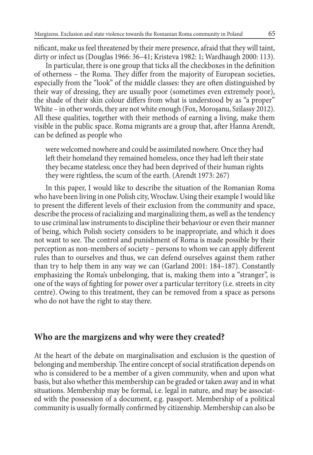nificant, make us feel threatened by their mere presence, afraid that they will taint, dirty or infect us (Douglas 1966: 36–41; Kristeva 1982: 1; Wardhaugh 2000: 113).

In particular, there is one group that ticks all the checkboxes in the definition of otherness – the Roma. They differ from the majority of European societies, especially from the "look" of the middle classes: they are often distinguished by their way of dressing, they are usually poor (sometimes even extremely poor), the shade of their skin colour differs from what is understood by as "a proper" White – in other words, they are not white enough (Fox, Morosanu, Szilassy 2012). All these qualities, together with their methods of earning a living, make them visible in the public space. Roma migrants are a group that, after Hanna Arendt, can be defined as people who

were welcomed nowhere and could be assimilated nowhere. Once they had left their homeland they remained homeless, once they had left their state they became stateless; once they had been deprived of their human rights they were rightless, the scum of the earth. (Arendt 1973: 267)

In this paper, I would like to describe the situation of the Romanian Roma who have been living in one Polish city, Wrocław. Using their example I would like to present the different levels of their exclusion from the community and space, describe the process of racializing and marginalizing them, as well as the tendency to use criminal law instruments to discipline their behaviour or even their manner of being, which Polish society considers to be inappropriate, and which it does not want to see. The control and punishment of Roma is made possible by their perception as non-members of society – persons to whom we can apply different rules than to ourselves and thus, we can defend ourselves against them rather than try to help them in any way we can (Garland 2001: 184–187). Constantly emphasizing the Roma's unbelonging, that is, making them into a "stranger", is one of the ways of fighting for power over a particular territory (i.e. streets in city centre). Owing to this treatment, they can be removed from a space as persons who do not have the right to stay there.

### **Who are the margizens and why were they created?**

At the heart of the debate on marginalisation and exclusion is the question of belonging and membership. The entire concept of social stratification depends on who is considered to be a member of a given community, when and upon what basis, but also whether this membership can be graded or taken away and in what situations. Membership may be formal, i.e. legal in nature, and may be associated with the possession of a document, e.g. passport. Membership of a political community is usually formally confirmed by citizenship. Membership can also be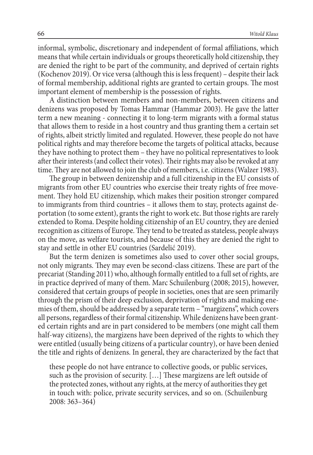informal, symbolic, discretionary and independent of formal affiliations, which means that while certain individuals or groups theoretically hold citizenship, they are denied the right to be part of the community, and deprived of certain rights (Kochenov 2019). Or vice versa (although this is less frequent) – despite their lack of formal membership, additional rights are granted to certain groups. The most important element of membership is the possession of rights.

A distinction between members and non-members, between citizens and denizens was proposed by Tomas Hammar (Hammar 2003). He gave the latter term a new meaning - connecting it to long-term migrants with a formal status that allows them to reside in a host country and thus granting them a certain set of rights, albeit strictly limited and regulated. However, these people do not have political rights and may therefore become the targets of political attacks, because they have nothing to protect them – they have no political representatives to look after their interests (and collect their votes). Their rights may also be revoked at any time. They are not allowed to join the club of members, i.e. citizens (Walzer 1983).

The group in between denizenship and a full citizenship in the EU consists of migrants from other EU countries who exercise their treaty rights of free movement. They hold EU citizenship, which makes their position stronger compared to immigrants from third countries – it allows them to stay, protects against deportation (to some extent), grants the right to work etc. But those rights are rarely extended to Roma. Despite holding citizenship of an EU country, they are denied recognition as citizens of Europe. They tend to be treated as stateless, people always on the move, as welfare tourists, and because of this they are denied the right to stay and settle in other EU countries (Sardelić 2019).

But the term denizen is sometimes also used to cover other social groups, not only migrants. They may even be second-class citizens. These are part of the precariat (Standing 2011) who, although formally entitled to a full set of rights, are in practice deprived of many of them. Marc Schuilenburg (2008; 2015), however, considered that certain groups of people in societies, ones that are seen primarily through the prism of their deep exclusion, deprivation of rights and making enemies of them, should be addressed by a separate term – "margizens", which covers all persons, regardless of their formal citizenship. While denizens have been granted certain rights and are in part considered to be members (one might call them half-way citizens), the margizens have been deprived of the rights to which they were entitled (usually being citizens of a particular country), or have been denied the title and rights of denizens. In general, they are characterized by the fact that

these people do not have entrance to collective goods, or public services, such as the provision of security. […] These margizens are left outside of the protected zones, without any rights, at the mercy of authorities they get in touch with: police, private security services, and so on. (Schuilenburg 2008: 363–364)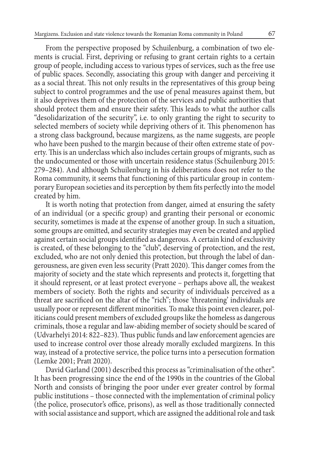From the perspective proposed by Schuilenburg, a combination of two elements is crucial. First, depriving or refusing to grant certain rights to a certain group of people, including access to various types of services, such as the free use of public spaces. Secondly, associating this group with danger and perceiving it as a social threat. This not only results in the representatives of this group being subject to control programmes and the use of penal measures against them, but it also deprives them of the protection of the services and public authorities that should protect them and ensure their safety. This leads to what the author calls "desolidarization of the security", i.e. to only granting the right to security to selected members of society while depriving others of it. This phenomenon has a strong class background, because margizens, as the name suggests, are people who have been pushed to the margin because of their often extreme state of poverty. This is an underclass which also includes certain groups of migrants, such as the undocumented or those with uncertain residence status (Schuilenburg 2015: 279–284). And although Schuilenburg in his deliberations does not refer to the Roma community, it seems that functioning of this particular group in contemporary European societies and its perception by them fits perfectly into the model created by him.

It is worth noting that protection from danger, aimed at ensuring the safety of an individual (or a specific group) and granting their personal or economic security, sometimes is made at the expense of another group. In such a situation, some groups are omitted, and security strategies may even be created and applied against certain social groups identified as dangerous. A certain kind of exclusivity is created, of these belonging to the "club", deserving of protection, and the rest, excluded, who are not only denied this protection, but through the label of dangerousness, are given even less security (Pratt 2020). This danger comes from the majority of society and the state which represents and protects it, forgetting that it should represent, or at least protect everyone – perhaps above all, the weakest members of society. Both the rights and security of individuals perceived as a threat are sacrificed on the altar of the "rich"; those 'threatening' individuals are usually poor or represent different minorities. To make this point even clearer, politicians could present members of excluded groups like the homeless as dangerous criminals, those a regular and law-abiding member of society should be scared of (Udvarhelyi 2014: 822–823). Thus public funds and law enforcement agencies are used to increase control over those already morally excluded margizens. In this way, instead of a protective service, the police turns into a persecution formation (Lemke 2001; Pratt 2020).

David Garland (2001) described this process as "criminalisation of the other". It has been progressing since the end of the 1990s in the countries of the Global North and consists of bringing the poor under ever greater control by formal public institutions – those connected with the implementation of criminal policy (the police, prosecutor's office, prisons), as well as those traditionally connected with social assistance and support, which are assigned the additional role and task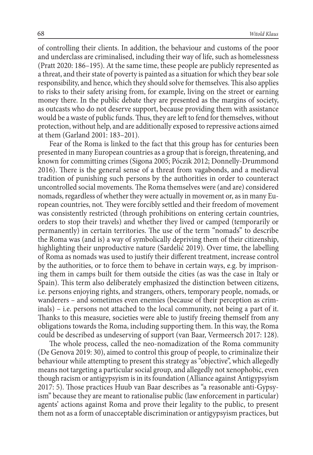of controlling their clients. In addition, the behaviour and customs of the poor and underclass are criminalised, including their way of life, such as homelessness (Pratt 2020: 186–195). At the same time, these people are publicly represented as a threat, and their state of poverty is painted as a situation for which they bear sole responsibility, and hence, which they should solve for themselves. This also applies to risks to their safety arising from, for example, living on the street or earning money there. In the public debate they are presented as the margins of society, as outcasts who do not deserve support, because providing them with assistance would be a waste of public funds. Thus, they are left to fend for themselves, without protection, without help, and are additionally exposed to repressive actions aimed at them (Garland 2001: 183–201).

Fear of the Roma is linked to the fact that this group has for centuries been presented in many European countries as a group that is foreign, threatening, and known for committing crimes (Sigona 2005; Póczik 2012; Donnelly-Drummond 2016). There is the general sense of a threat from vagabonds, and a medieval tradition of punishing such persons by the authorities in order to counteract uncontrolled social movements. The Roma themselves were (and are) considered nomads, regardless of whether they were actually in movement or, as in many European countries, not*.* They were forcibly settled and their freedom of movement was consistently restricted (through prohibitions on entering certain countries, orders to stop their travels) and whether they lived or camped (temporarily or permanently) in certain territories. The use of the term "nomads" to describe the Roma was (and is) a way of symbolically depriving them of their citizenship, highlighting their unproductive nature (Sardelić 2019). Over time, the labelling of Roma as nomads was used to justify their different treatment, increase control by the authorities, or to force them to behave in certain ways, e.g. by imprisoning them in camps built for them outside the cities (as was the case in Italy or Spain). This term also deliberately emphasized the distinction between citizens, i.e. persons enjoying rights, and strangers, others, temporary people, nomads, or wanderers – and sometimes even enemies (because of their perception as criminals) – i.e. persons not attached to the local community, not being a part of it. Thanks to this measure, societies were able to justify freeing themself from any obligations towards the Roma, including supporting them. In this way, the Roma could be described as undeserving of support (van Baar, Vermeersch 2017: 128).

The whole process, called the neo-nomadization of the Roma community (De Genova 2019: 30), aimed to control this group of people, to criminalize their behaviour while attempting to present this strategy as "objective", which allegedly means not targeting a particular social group, and allegedly not xenophobic, even though racism or antigypsyism is in its foundation (Alliance against Antigypsyism 2017: 5). Those practices Huub van Baar describes as "a reasonable anti-Gypsyism" because they are meant to rationalise public (law enforcement in particular) agents' actions against Roma and prove their legality to the public, to present them not as a form of unacceptable discrimination or antigypsyism practices, but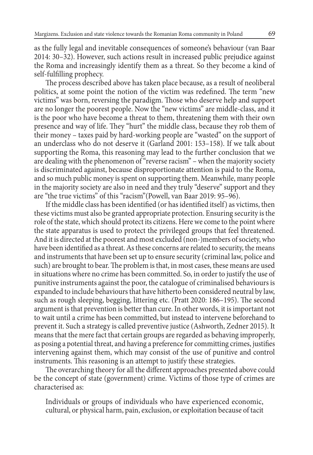as the fully legal and inevitable consequences of someone's behaviour (van Baar 2014: 30–32). However, such actions result in increased public prejudice against the Roma and increasingly identify them as a threat. So they become a kind of self-fulfilling prophecy.

The process described above has taken place because, as a result of neoliberal politics, at some point the notion of the victim was redefined. The term "new victims" was born, reversing the paradigm. Those who deserve help and support are no longer the poorest people. Now the "new victims" are middle-class, and it is the poor who have become a threat to them, threatening them with their own presence and way of life. They "hurt" the middle class, because they rob them of their money – taxes paid by hard-working people are "wasted" on the support of an underclass who do not deserve it (Garland 2001: 153–158). If we talk about supporting the Roma, this reasoning may lead to the further conclusion that we are dealing with the phenomenon of "reverse racism" – when the majority society is discriminated against, because disproportionate attention is paid to the Roma, and so much public money is spent on supporting them. Meanwhile, many people in the majority society are also in need and they truly "deserve" support and they are "the true victims" of this "racism"(Powell, van Baar 2019: 95–96).

If the middle class has been identified (or has identified itself) as victims, then these victims must also be granted appropriate protection. Ensuring security is the role of the state, which should protect its citizens. Here we come to the point where the state apparatus is used to protect the privileged groups that feel threatened. And it is directed at the poorest and most excluded (non-)members of society, who have been identified as a threat. As these concerns are related to security, the means and instruments that have been set up to ensure security (criminal law, police and such) are brought to bear. The problem is that, in most cases, these means are used in situations where no crime has been committed. So, in order to justify the use of punitive instruments against the poor, the catalogue of criminalised behaviours is expanded to include behaviours that have hitherto been considered neutral by law, such as rough sleeping, begging, littering etc. (Pratt 2020: 186–195). The second argument is that prevention is better than cure. In other words, it is important not to wait until a crime has been committed, but instead to intervene beforehand to prevent it. Such a strategy is called preventive justice (Ashworth, Zedner 2015). It means that the mere fact that certain groups are regarded as behaving improperly, as posing a potential threat, and having a preference for committing crimes, justifies intervening against them, which may consist of the use of punitive and control instruments. This reasoning is an attempt to justify these strategies.

The overarching theory for all the different approaches presented above could be the concept of state (government) crime. Victims of those type of crimes are characterised as:

Individuals or groups of individuals who have experienced economic, cultural, or physical harm, pain, exclusion, or exploitation because of tacit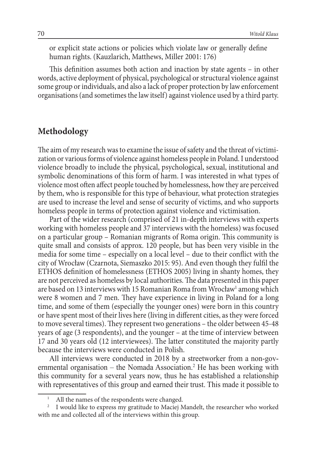or explicit state actions or policies which violate law or generally define human rights. (Kauzlarich, Matthews, Miller 2001: 176)

This definition assumes both action and inaction by state agents – in other words, active deployment of physical, psychological or structural violence against some group or individuals, and also a lack of proper protection by law enforcement organisations (and sometimes the law itself) against violence used by a third party.

# **Methodology**

The aim of my research was to examine the issue of safety and the threat of victimization or various forms of violence against homeless people in Poland. I understood violence broadly to include the physical, psychological, sexual, institutional and symbolic denominations of this form of harm. I was interested in what types of violence most often affect people touched by homelessness, how they are perceived by them, who is responsible for this type of behaviour, what protection strategies are used to increase the level and sense of security of victims, and who supports homeless people in terms of protection against violence and victimisation.

Part of the wider research (comprised of 21 in-depth interviews with experts working with homeless people and 37 interviews with the homeless) was focused on a particular group – Romanian migrants of Roma origin. This community is quite small and consists of approx. 120 people, but has been very visible in the media for some time – especially on a local level – due to their conflict with the city of Wrocław (Czarnota, Siemaszko 2015: 95). And even though they fulfil the ETHOS definition of homelessness (ETHOS 2005) living in shanty homes, they are not perceived as homeless by local authorities. The data presented in this paper are based on 13 interviews with 15 Romanian Roma from Wrocław $^{\scriptscriptstyle 1}$  among which were 8 women and 7 men. They have experience in living in Poland for a long time, and some of them (especially the younger ones) were born in this country or have spent most of their lives here (living in different cities, as they were forced to move several times). They represent two generations – the older between 45-48 years of age (3 respondents), and the younger – at the time of interview between 17 and 30 years old (12 interviewees). The latter constituted the majority partly because the interviews were conducted in Polish.

All interviews were conducted in 2018 by a streetworker from a non-governmental organisation – the Nomada Association.<sup>2</sup> He has been working with this community for a several years now, thus he has established a relationship with representatives of this group and earned their trust. This made it possible to

All the names of the respondents were changed.

<sup>&</sup>lt;sup>2</sup> I would like to express my gratitude to Maciej Mandelt, the researcher who worked with me and collected all of the interviews within this group.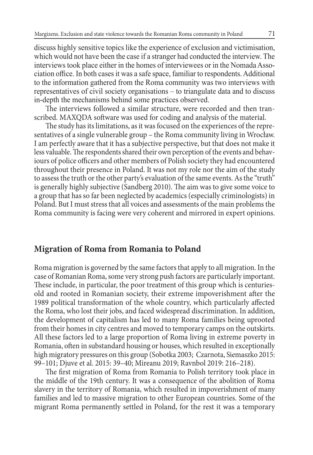discuss highly sensitive topics like the experience of exclusion and victimisation, which would not have been the case if a stranger had conducted the interview. The interviews took place either in the homes of interviewees or in the Nomada Association office. In both cases it was a safe space, familiar to respondents. Additional to the information gathered from the Roma community was two interviews with representatives of civil society organisations – to triangulate data and to discuss in-depth the mechanisms behind some practices observed.

The interviews followed a similar structure, were recorded and then transcribed. MAXQDA software was used for coding and analysis of the material.

The study has its limitations, as it was focused on the experiences of the representatives of a single vulnerable group – the Roma community living in Wrocław. I am perfectly aware that it has a subjective perspective, but that does not make it less valuable. The respondents shared their own perception of the events and behaviours of police officers and other members of Polish society they had encountered throughout their presence in Poland. It was not my role nor the aim of the study to assess the truth or the other party's evaluation of the same events. As the "truth" is generally highly subjective (Sandberg 2010). The aim was to give some voice to a group that has so far been neglected by academics (especially criminologists) in Poland. But I must stress that all voices and assessments of the main problems the Roma community is facing were very coherent and mirrored in expert opinions.

#### **Migration of Roma from Romania to Poland**

Roma migration is governed by the same factors that apply to all migration. In the case of Romanian Roma, some very strong push factors are particularly important. These include, in particular, the poor treatment of this group which is centuriesold and rooted in Romanian society, their extreme impoverishment after the 1989 political transformation of the whole country, which particularly affected the Roma, who lost their jobs, and faced widespread discrimination. In addition, the development of capitalism has led to many Roma families being uprooted from their homes in city centres and moved to temporary camps on the outskirts. All these factors led to a large proportion of Roma living in extreme poverty in Romania, often in substandard housing or houses, which resulted in exceptionally high migratory pressures on this group (Sobotka 2003; Czarnota, Siemaszko 2015: 99–101; Djuve et al. 2015: 39–40; Mireanu 2019; Ravnbol 2019: 216–218).

The first migration of Roma from Romania to Polish territory took place in the middle of the 19th century. It was a consequence of the abolition of Roma slavery in the territory of Romania, which resulted in impoverishment of many families and led to massive migration to other European countries. Some of the migrant Roma permanently settled in Poland, for the rest it was a temporary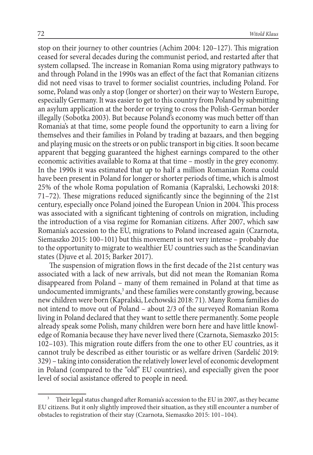stop on their journey to other countries (Achim 2004: 120–127). This migration ceased for several decades during the communist period, and restarted after that system collapsed. The increase in Romanian Roma using migratory pathways to and through Poland in the 1990s was an effect of the fact that Romanian citizens did not need visas to travel to former socialist countries, including Poland. For some, Poland was only a stop (longer or shorter) on their way to Western Europe, especially Germany. It was easier to get to this country from Poland by submitting an asylum application at the border or trying to cross the Polish-German border illegally (Sobotka 2003). But because Poland's economy was much better off than Romania's at that time, some people found the opportunity to earn a living for themselves and their families in Poland by trading at bazaars, and then begging and playing music on the streets or on public transport in big cities. It soon became apparent that begging guaranteed the highest earnings compared to the other economic activities available to Roma at that time – mostly in the grey economy. In the 1990s it was estimated that up to half a million Romanian Roma could have been present in Poland for longer or shorter periods of time, which is almost 25% of the whole Roma population of Romania (Kapralski, Lechowski 2018: 71–72). These migrations reduced significantly since the beginning of the 21st century, especially once Poland joined the European Union in 2004. This process was associated with a significant tightening of controls on migration, including the introduction of a visa regime for Romanian citizens. After 2007, which saw Romania's accession to the EU, migrations to Poland increased again (Czarnota, Siemaszko 2015: 100–101) but this movement is not very intense – probably due to the opportunity to migrate to wealthier EU countries such as the Scandinavian states (Djuve et al. 2015; Barker 2017).

The suspension of migration flows in the first decade of the 21st century was associated with a lack of new arrivals, but did not mean the Romanian Roma disappeared from Poland – many of them remained in Poland at that time as undocumented immigrants, $^3$  and these families were constantly growing, because new children were born (Kapralski, Lechowski 2018: 71). Many Roma families do not intend to move out of Poland – about 2/3 of the surveyed Romanian Roma living in Poland declared that they want to settle there permanently. Some people already speak some Polish, many children were born here and have little knowledge of Romania because they have never lived there (Czarnota, Siemaszko 2015: 102–103). This migration route differs from the one to other EU countries, as it cannot truly be described as either touristic or as welfare driven (Sardelić 2019: 329) – taking into consideration the relatively lower level of economic development in Poland (compared to the "old" EU countries), and especially given the poor level of social assistance offered to people in need.

Their legal status changed after Romania's accession to the EU in 2007, as they became EU citizens. But it only slightly improved their situation, as they still encounter a number of obstacles to registration of their stay (Czarnota, Siemaszko 2015: 101–104).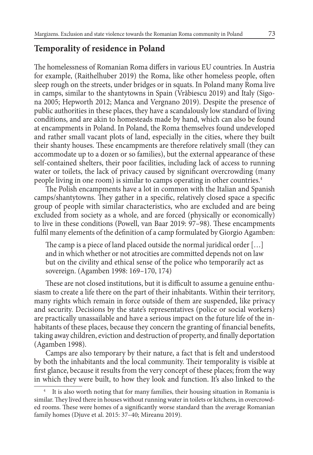### **Temporality of residence in Poland**

The homelessness of Romanian Roma differs in various EU countries. In Austria for example, (Raithelhuber 2019) the Roma, like other homeless people, often sleep rough on the streets, under bridges or in squats. In Poland many Roma live in camps, similar to the shantytowns in Spain (Vrăbiescu 2019) and Italy (Sigona 2005; Hepworth 2012; Manca and Vergnano 2019). Despite the presence of public authorities in these places, they have a scandalously low standard of living conditions, and are akin to homesteads made by hand, which can also be found at encampments in Poland. In Poland, the Roma themselves found undeveloped and rather small vacant plots of land, especially in the cities, where they built their shanty houses. These encampments are therefore relatively small (they can accommodate up to a dozen or so families), but the external appearance of these self-contained shelters, their poor facilities, including lack of access to running water or toilets, the lack of privacy caused by significant overcrowding (many people living in one room) is similar to camps operating in other countries.4

The Polish encampments have a lot in common with the Italian and Spanish camps/shantytowns. They gather in a specific, relatively closed space a specific group of people with similar characteristics, who are excluded and are being excluded from society as a whole, and are forced (physically or economically) to live in these conditions (Powell, van Baar 2019: 97–98). These encampments fulfil many elements of the definition of a camp formulated by Giorgio Agamben:

The camp is a piece of land placed outside the normal juridical order […] and in which whether or not atrocities are committed depends not on law but on the civility and ethical sense of the police who temporarily act as sovereign. (Agamben 1998: 169–170, 174)

These are not closed institutions, but it is difficult to assume a genuine enthusiasm to create a life there on the part of their inhabitants. Within their territory, many rights which remain in force outside of them are suspended, like privacy and security. Decisions by the state's representatives (police or social workers) are practically unassailable and have a serious impact on the future life of the inhabitants of these places, because they concern the granting of financial benefits, taking away children, eviction and destruction of property, and finally deportation (Agamben 1998).

Camps are also temporary by their nature, a fact that is felt and understood by both the inhabitants and the local community. Their temporality is visible at first glance, because it results from the very concept of these places; from the way in which they were built, to how they look and function. It's also linked to the

It is also worth noting that for many families, their housing situation in Romania is similar. They lived there in houses without running water in toilets or kitchens, in overcrowded rooms. These were homes of a significantly worse standard than the average Romanian family homes (Djuve et al. 2015: 37–40; Mireanu 2019).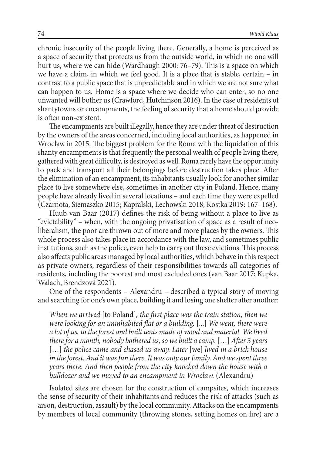chronic insecurity of the people living there. Generally, a home is perceived as a space of security that protects us from the outside world, in which no one will hurt us, where we can hide (Wardhaugh 2000: 76–79). This is a space on which we have a claim, in which we feel good. It is a place that is stable, certain – in contrast to a public space that is unpredictable and in which we are not sure what can happen to us. Home is a space where we decide who can enter, so no one unwanted will bother us (Crawford, Hutchinson 2016). In the case of residents of shantytowns or encampments, the feeling of security that a home should provide is often non-existent.

The encampments are built illegally, hence they are under threat of destruction by the owners of the areas concerned, including local authorities, as happened in Wrocław in 2015. The biggest problem for the Roma with the liquidation of this shanty encampments is that frequently the personal wealth of people living there, gathered with great difficulty, is destroyed as well. Roma rarely have the opportunity to pack and transport all their belongings before destruction takes place. After the elimination of an encampment, its inhabitants usually look for another similar place to live somewhere else, sometimes in another city in Poland. Hence, many people have already lived in several locations – and each time they were expelled (Czarnota, Siemaszko 2015; Kapralski, Lechowski 2018; Kostka 2019: 167–168).

Huub van Baar (2017) defines the risk of being without a place to live as "evictability" – when, with the ongoing privatisation of space as a result of neoliberalism, the poor are thrown out of more and more places by the owners. This whole process also takes place in accordance with the law, and sometimes public institutions, such as the police, even help to carry out these evictions. This process also affects public areas managed by local authorities, which behave in this respect as private owners, regardless of their responsibilities towards all categories of residents, including the poorest and most excluded ones (van Baar 2017; Kupka, Walach, Brendzová 2021).

One of the respondents – Alexandru – described a typical story of moving and searching for one's own place, building it and losing one shelter after another:

*When we arrived* [to Poland]*, the first place was the train station, then we were looking for an uninhabited flat or a building.* [...] *We went, there were a lot of us, to the forest and built tents made of wood and material. We lived there for a month, nobody bothered us, so we built a camp.* […] *After 3 years*  [...] *the police came and chased us away. Later* [we] *lived in a brick house in the forest. And it was fun there. It was only our family. And we spent three years there. And then people from the city knocked down the house with a bulldozer and we moved to an encampment in Wrocław.* (Alexandru)

Isolated sites are chosen for the construction of campsites, which increases the sense of security of their inhabitants and reduces the risk of attacks (such as arson, destruction, assault) by the local community. Attacks on the encampments by members of local community (throwing stones, setting homes on fire) are a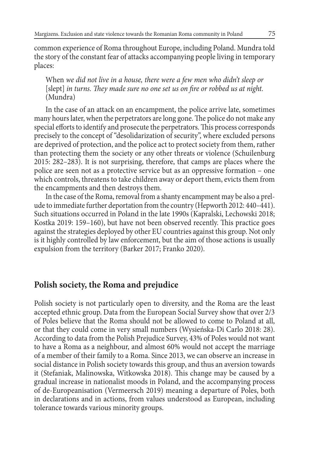common experience of Roma throughout Europe, including Poland. Mundra told the story of the constant fear of attacks accompanying people living in temporary places:

When *we did not live in a house, there were a few men who didn't sleep or*  [slept] *in turns. They made sure no one set us on fire or robbed us at night.* (Mundra)

In the case of an attack on an encampment, the police arrive late, sometimes many hours later, when the perpetrators are long gone. The police do not make any special efforts to identify and prosecute the perpetrators. This process corresponds precisely to the concept of "desolidarization of security", where excluded persons are deprived of protection, and the police act to protect society from them, rather than protecting them the society or any other threats or violence (Schuilenburg 2015: 282–283). It is not surprising, therefore, that camps are places where the police are seen not as a protective service but as an oppressive formation – one which controls, threatens to take children away or deport them, evicts them from the encampments and then destroys them.

In the case of the Roma, removal from a shanty encampment may be also a prelude to immediate further deportation from the country (Hepworth 2012: 440–441). Such situations occurred in Poland in the late 1990s (Kapralski, Lechowski 2018; Kostka 2019: 159–160), but have not been observed recently. This practice goes against the strategies deployed by other EU countries against this group. Not only is it highly controlled by law enforcement, but the aim of those actions is usually expulsion from the territory (Barker 2017; Franko 2020).

## **Polish society, the Roma and prejudice**

Polish society is not particularly open to diversity, and the Roma are the least accepted ethnic group. Data from the European Social Survey show that over 2/3 of Poles believe that the Roma should not be allowed to come to Poland at all, or that they could come in very small numbers (Wysieńska-Di Carlo 2018: 28). According to data from the Polish Prejudice Survey, 43% of Poles would not want to have a Roma as a neighbour, and almost 60% would not accept the marriage of a member of their family to a Roma. Since 2013, we can observe an increase in social distance in Polish society towards this group, and thus an aversion towards it (Stefaniak, Malinowska, Witkowska 2018). This change may be caused by a gradual increase in nationalist moods in Poland, and the accompanying process of de-Europeanisation (Vermeersch 2019) meaning a departure of Poles, both in declarations and in actions, from values understood as European, including tolerance towards various minority groups.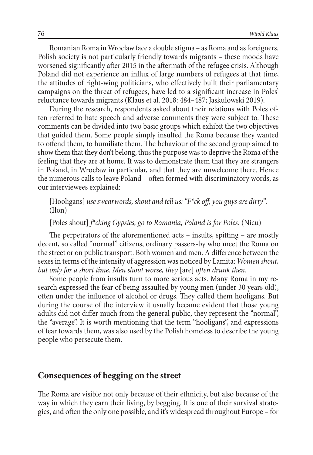Romanian Roma in Wrocław face a double stigma – as Roma and as foreigners. Polish society is not particularly friendly towards migrants – these moods have worsened significantly after 2015 in the aftermath of the refugee crisis. Although Poland did not experience an influx of large numbers of refugees at that time, the attitudes of right-wing politicians, who effectively built their parliamentary campaigns on the threat of refugees, have led to a significant increase in Poles' reluctance towards migrants (Klaus et al. 2018: 484–487; Jaskułowski 2019).

During the research, respondents asked about their relations with Poles often referred to hate speech and adverse comments they were subject to. These comments can be divided into two basic groups which exhibit the two objectives that guided them. Some people simply insulted the Roma because they wanted to offend them, to humiliate them. The behaviour of the second group aimed to show them that they don't belong, thus the purpose was to deprive the Roma of the feeling that they are at home. It was to demonstrate them that they are strangers in Poland, in Wrocław in particular, and that they are unwelcome there. Hence the numerous calls to leave Poland – often formed with discriminatory words, as our interviewees explained:

[Hooligans] *use swearwords, shout and tell us: "F\*ck off, you guys are dirty".*  (Iłon)

[Poles shout] *f\*cking Gypsies, go to Romania, Poland is for Poles.* (Nicu)

The perpetrators of the aforementioned acts – insults, spitting – are mostly decent, so called "normal" citizens, ordinary passers-by who meet the Roma on the street or on public transport. Both women and men. A difference between the sexes in terms of the intensity of aggression was noticed by Lamita: *Women shout, but only for a short time. Men shout worse, they* [are] *often drunk then*.

Some people from insults turn to more serious acts. Many Roma in my research expressed the fear of being assaulted by young men (under 30 years old), often under the influence of alcohol or drugs. They called them hooligans. But during the course of the interview it usually became evident that those young adults did not differ much from the general public, they represent the "normal", the "average". It is worth mentioning that the term "hooligans", and expressions of fear towards them, was also used by the Polish homeless to describe the young people who persecute them.

#### **Consequences of begging on the street**

The Roma are visible not only because of their ethnicity, but also because of the way in which they earn their living, by begging. It is one of their survival strategies, and often the only one possible, and it's widespread throughout Europe – for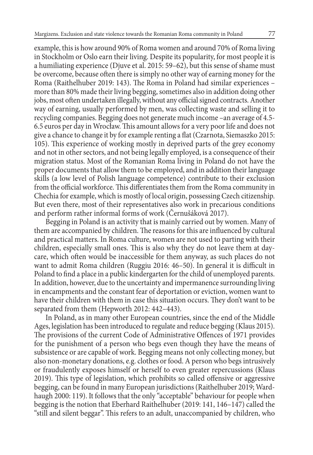example, this is how around 90% of Roma women and around 70% of Roma living in Stockholm or Oslo earn their living. Despite its popularity, for most people it is a humiliating experience (Djuve et al. 2015: 59–62), but this sense of shame must be overcome, because often there is simply no other way of earning money for the Roma (Raithelhuber 2019: 143). The Roma in Poland had similar experiences – more than 80% made their living begging, sometimes also in addition doing other jobs, most often undertaken illegally, without any official signed contracts. Another way of earning, usually performed by men, was collecting waste and selling it to recycling companies. Begging does not generate much income –an average of 4.5- 6.5 euros per day in Wrocław. This amount allows for a very poor life and does not give a chance to change it by for example renting a flat (Czarnota, Siemaszko 2015: 105). This experience of working mostly in deprived parts of the grey economy and not in other sectors, and not being legally employed, is a consequence of their migration status. Most of the Romanian Roma living in Poland do not have the proper documents that allow them to be employed, and in addition their language skills (a low level of Polish language competence) contribute to their exclusion from the official workforce. This differentiates them from the Roma community in Chechia for example, which is mostly of local origin, possessing Czech citizenship. But even there, most of their representatives also work in precarious conditions and perform rather informal forms of work (Černušáková 2017).

Begging in Poland is an activity that is mainly carried out by women. Many of them are accompanied by children. The reasons for this are influenced by cultural and practical matters. In Roma culture, women are not used to parting with their children, especially small ones. This is also why they do not leave them at daycare, which often would be inaccessible for them anyway, as such places do not want to admit Roma children (Ruggiu 2016: 46–50). In general it is difficult in Poland to find a place in a public kindergarten for the child of unemployed parents. In addition, however, due to the uncertainty and impermanence surrounding living in encampments and the constant fear of deportation or eviction, women want to have their children with them in case this situation occurs. They don't want to be separated from them (Hepworth 2012: 442–443).

In Poland, as in many other European countries, since the end of the Middle Ages, legislation has been introduced to regulate and reduce begging (Klaus 2015). The provisions of the current Code of Administrative Offences of 1971 provides for the punishment of a person who begs even though they have the means of subsistence or are capable of work. Begging means not only collecting money, but also non-monetary donations, e.g. clothes or food. A person who begs intrusively or fraudulently exposes himself or herself to even greater repercussions (Klaus 2019). This type of legislation, which prohibits so called offensive or aggressive begging, can be found in many European jurisdictions (Raithelhuber 2019; Wardhaugh 2000: 119). It follows that the only "acceptable" behaviour for people when begging is the notion that Eberhard Raithelhuber (2019: 141, 146–147) called the "still and silent beggar". This refers to an adult, unaccompanied by children, who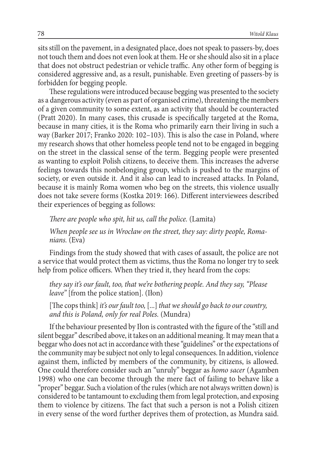sits still on the pavement, in a designated place, does not speak to passers-by, does not touch them and does not even look at them. He or she should also sit in a place that does not obstruct pedestrian or vehicle traffic. Any other form of begging is considered aggressive and, as a result, punishable. Even greeting of passers-by is forbidden for begging people.

These regulations were introduced because begging was presented to the society as a dangerous activity (even as part of organised crime), threatening the members of a given community to some extent, as an activity that should be counteracted (Pratt 2020). In many cases, this crusade is specifically targeted at the Roma, because in many cities, it is the Roma who primarily earn their living in such a way (Barker 2017; Franko 2020: 102–103). This is also the case in Poland, where my research shows that other homeless people tend not to be engaged in begging on the street in the classical sense of the term. Begging people were presented as wanting to exploit Polish citizens, to deceive them. This increases the adverse feelings towards this nonbelonging group, which is pushed to the margins of society, or even outside it. And it also can lead to increased attacks. In Poland, because it is mainly Roma women who beg on the streets, this violence usually does not take severe forms (Kostka 2019: 166). Different interviewees described their experiences of begging as follows:

*There are people who spit, hit us, call the police.* (Lamita)

*When people see us in Wrocław on the street, they say: dirty people, Romanians.* (Eva)

Findings from the study showed that with cases of assault, the police are not a service that would protect them as victims, thus the Roma no longer try to seek help from police officers. When they tried it, they heard from the cops:

*they say it's our fault, too, that we're bothering people. And they say, "Please leave"* [from the police station]. (Iłon)

[The cops think] *it's our fault too,* [...] *that we should go back to our country, and this is Poland, only for real Poles.* (Mundra)

If the behaviour presented by Iłon is contrasted with the figure of the "still and silent beggar" described above, it takes on an additional meaning. It may mean that a beggar who does not act in accordance with these "guidelines" or the expectations of the community may be subject not only to legal consequences. In addition, violence against them, inflicted by members of the community, by citizens, is allowed. One could therefore consider such an "unruly" beggar as *homo sacer* (Agamben 1998) who one can become through the mere fact of failing to behave like a "proper" beggar. Such a violation of the rules (which are not always written down) is considered to be tantamount to excluding them from legal protection, and exposing them to violence by citizens. The fact that such a person is not a Polish citizen in every sense of the word further deprives them of protection, as Mundra said.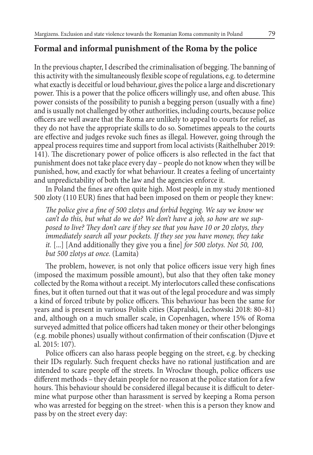# **Formal and informal punishment of the Roma by the police**

In the previous chapter, I described the criminalisation of begging. The banning of this activity with the simultaneously flexible scope of regulations, e.g. to determine what exactly is deceitful or loud behaviour, gives the police a large and discretionary power. This is a power that the police officers willingly use, and often abuse. This power consists of the possibility to punish a begging person (usually with a fine) and is usually not challenged by other authorities, including courts, because police officers are well aware that the Roma are unlikely to appeal to courts for relief, as they do not have the appropriate skills to do so. Sometimes appeals to the courts are effective and judges revoke such fines as illegal. However, going through the appeal process requires time and support from local activists (Raithelhuber 2019: 141). The discretionary power of police officers is also reflected in the fact that punishment does not take place every day – people do not know when they will be punished, how, and exactly for what behaviour. It creates a feeling of uncertainty and unpredictability of both the law and the agencies enforce it.

In Poland the fines are often quite high. Most people in my study mentioned 500 zloty (110 EUR) fines that had been imposed on them or people they knew:

*The police give a fine of 500 zlotys and forbid begging. We say we know we can't do this, but what do we do? We don't have a job, so how are we supposed to live? They don't care if they see that you have 10 or 20 zlotys, they immediately search all your pockets. If they see you have money, they take it.* [...] [And additionally they give you a fine] *for 500 zlotys. Not 50, 100, but 500 zlotys at once.* (Lamita)

The problem, however, is not only that police officers issue very high fines (imposed the maximum possible amount), but also that they often take money collected by the Roma without a receipt. My interlocutors called these confiscations fines, but it often turned out that it was out of the legal procedure and was simply a kind of forced tribute by police officers. This behaviour has been the same for years and is present in various Polish cities (Kapralski, Lechowski 2018: 80–81) and, although on a much smaller scale, in Copenhagen, where 15% of Roma surveyed admitted that police officers had taken money or their other belongings (e.g. mobile phones) usually without confirmation of their confiscation (Djuve et al. 2015: 107).

Police officers can also harass people begging on the street, e.g. by checking their IDs regularly. Such frequent checks have no rational justification and are intended to scare people off the streets. In Wrocław though, police officers use different methods – they detain people for no reason at the police station for a few hours. This behaviour should be considered illegal because it is difficult to determine what purpose other than harassment is served by keeping a Roma person who was arrested for begging on the street- when this is a person they know and pass by on the street every day: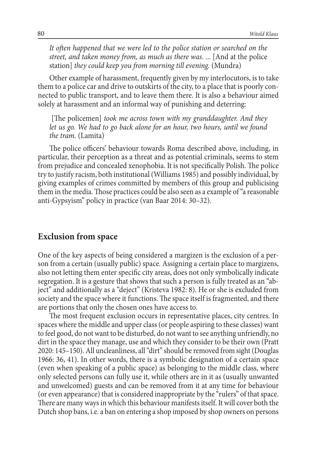*It often happened that we were led to the police station or searched on the street, and taken money from, as much as there was*. ... [And at the police station] *they could keep you from morning till evening.* (Mundra)

Other example of harassment, frequently given by my interlocutors, is to take them to a police car and drive to outskirts of the city, to a place that is poorly connected to public transport, and to leave them there. It is also a behaviour aimed solely at harassment and an informal way of punishing and deterring:

 [The policemen] *took me across town with my granddaughter. And they*  let us go. We had to go back alone for an hour, two hours, until we found *the tram.* (Lamita)

The police officers' behaviour towards Roma described above, including, in particular, their perception as a threat and as potential criminals, seems to stem from prejudice and concealed xenophobia. It is not specifically Polish. The police try to justify racism, both institutional (Williams 1985) and possibly individual, by giving examples of crimes committed by members of this group and publicising them in the media. Those practices could be also seen as a example of "a reasonable anti-Gypsyism" policy in practice (van Baar 2014: 30–32).

### **Exclusion from space**

One of the key aspects of being considered a margizen is the exclusion of a person from a certain (usually public) space. Assigning a certain place to margizens, also not letting them enter specific city areas, does not only symbolically indicate segregation. It is a gesture that shows that such a person is fully treated as an "abject" and additionally as a "deject" (Kristeva 1982: 8). He or she is excluded from society and the space where it functions. The space itself is fragmented, and there are portions that only the chosen ones have access to.

The most frequent exclusion occurs in representative places, city centres. In spaces where the middle and upper class (or people aspiring to these classes) want to feel good, do not want to be disturbed, do not want to see anything unfriendly, no dirt in the space they manage, use and which they consider to be their own (Pratt 2020: 145–150). All uncleanliness, all "dirt" should be removed from sight (Douglas 1966: 36, 41). In other words, there is a symbolic designation of a certain space (even when speaking of a public space) as belonging to the middle class, where only selected persons can fully use it, while others are in it as (usually unwanted and unwelcomed) guests and can be removed from it at any time for behaviour (or even appearance) that is considered inappropriate by the "rulers" of that space. There are many ways in which this behaviour manifests itself. It will cover both the Dutch shop bans, i.e. a ban on entering a shop imposed by shop owners on persons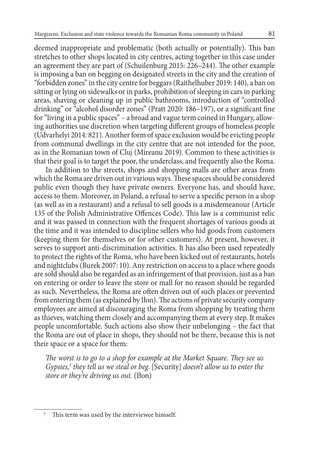deemed inappropriate and problematic (both actually or potentially). This ban stretches to other shops located in city centres, acting together in this case under an agreement they are part of (Schuilenburg 2015: 226–244). The other example is imposing a ban on begging on designated streets in the city and the creation of "forbidden zones" in the city centre for beggars (Raithelhuber 2019: 140), a ban on sitting or lying on sidewalks or in parks, prohibition of sleeping in cars in parking areas, shaving or cleaning up in public bathrooms, introduction of "controlled drinking" or "alcohol disorder zones" (Pratt 2020: 186–197), or a significant fine for "living in a public spaces" – a broad and vague term coined in Hungary, allowing authorities use discretion when targeting different groups of homeless people (Udvarhelyi 2014: 821). Another form of space exclusion would be evicting people from communal dwellings in the city centre that are not intended for the poor, as in the Romanian town of Cluj (Mireanu 2019). Common to these activities is that their goal is to target the poor, the underclass, and frequently also the Roma.

In addition to the streets, shops and shopping malls are other areas from which the Roma are driven out in various ways. These spaces should be considered public even though they have private owners. Everyone has, and should have, access to them. Moreover, in Poland, a refusal to serve a specific person in a shop (as well as in a restaurant) and a refusal to sell goods is a misdemeanour (Article 135 of the Polish Administrative Offences Code). This law is a communist relic and it was passed in connection with the frequent shortages of various goods at the time and it was intended to discipline sellers who hid goods from customers (keeping them for themselves or for other customers). At present, however, it serves to support anti-discrimination activities. It has also been used repeatedly to protect the rights of the Roma, who have been kicked out of restaurants, hotels and nightclubs (Burek 2007: 10). Any restriction on access to a place where goods are sold should also be regarded as an infringement of that provision, just as a ban on entering or order to leave the store or mall for no reason should be regarded as such. Nevertheless, the Roma are often driven out of such places or prevented from entering them (as explained by Iłon). The actions of private security company employees are aimed at discouraging the Roma from shopping by treating them as thieves, watching them closely and accompanying them at every step. It makes people uncomfortable. Such actions also show their unbelonging – the fact that the Roma are out of place in shops, they should not be there, because this is not their space or a space for them:

*The worst is to go to a shop for example at the Market Square. They see us Gypsies,5 they tell us we steal or beg*. [Security] *doesn't allow us to enter the store or they're driving us out.* (Iłon)

<sup>&</sup>lt;sup>5</sup> This term was used by the interviewee himself.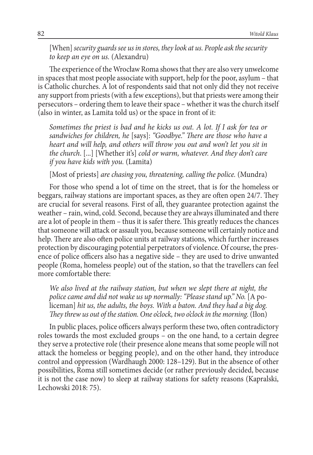[When] *security guards see us in stores, they look at us. People ask the security to keep an eye on us.* (Alexandru)

The experience of the Wrocław Roma shows that they are also very unwelcome in spaces that most people associate with support, help for the poor, asylum – that is Catholic churches. A lot of respondents said that not only did they not receive any support from priests (with a few exceptions), but that priests were among their persecutors – ordering them to leave their space – whether it was the church itself (also in winter, as Lamita told us) or the space in front of it:

*Sometimes the priest is bad and he kicks us out. A lot. If I ask for tea or sandwiches for children, he* [says]: *"Goodbye." There are those who have a heart and will help, and others will throw you out and won't let you sit in the church*. [...] [Whether it's] *cold or warm, whatever. And they don't care if you have kids with you.* (Lamita)

[Most of priests] *are chasing you, threatening, calling the police.* (Mundra)

For those who spend a lot of time on the street, that is for the homeless or beggars, railway stations are important spaces, as they are often open 24/7. They are crucial for several reasons. First of all, they guarantee protection against the weather – rain, wind, cold. Second, because they are always illuminated and there are a lot of people in them – thus it is safer there. This greatly reduces the chances that someone will attack or assault you, because someone will certainly notice and help. There are also often police units at railway stations, which further increases protection by discouraging potential perpetrators of violence. Of course, the presence of police officers also has a negative side – they are used to drive unwanted people (Roma, homeless people) out of the station, so that the travellers can feel more comfortable there:

*We also lived at the railway station, but when we slept there at night, the police came and did not wake us up normally: "Please stand up." No.* [A policeman] *hit us, the adults, the boys. With a baton. And they had a big dog. They threw us out of the station. One o'clock, two o'clock in the morning.* (Iłon)

In public places, police officers always perform these two, often contradictory roles towards the most excluded groups – on the one hand, to a certain degree they serve a protective role (their presence alone means that some people will not attack the homeless or begging people), and on the other hand, they introduce control and oppression (Wardhaugh 2000: 128–129). But in the absence of other possibilities, Roma still sometimes decide (or rather previously decided, because it is not the case now) to sleep at railway stations for safety reasons (Kapralski, Lechowski 2018: 75).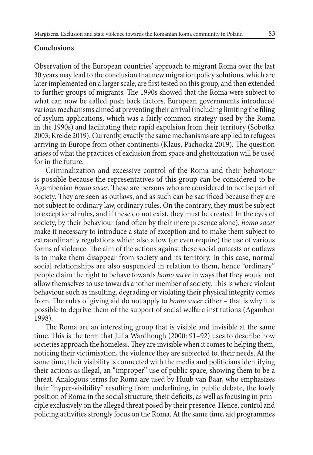#### **Conclusions**

Observation of the European countries' approach to migrant Roma over the last 30 years may lead to the conclusion that new migration policy solutions, which are later implemented on a larger scale, are first tested on this group, and then extended to further groups of migrants. The 1990s showed that the Roma were subject to what can now be called push back factors. European governments introduced various mechanisms aimed at preventing their arrival (including limiting the filing of asylum applications, which was a fairly common strategy used by the Roma in the 1990s) and facilitating their rapid expulsion from their territory (Sobotka 2003; Kreide 2019). Currently, exactly the same mechanisms are applied to refugees arriving in Europe from other continents (Klaus, Pachocka 2019). The question arises of what the practices of exclusion from space and ghettoization will be used for in the future.

Criminalization and excessive control of the Roma and their behaviour is possible because the representatives of this group can be considered to be Agambenian *homo sacer*. These are persons who are considered to not be part of society. They are seen as outlaws, and as such can be sacrificed because they are not subject to ordinary law, ordinary rules. On the contrary, they must be subject to exceptional rules, and if these do not exist, they must be created. In the eyes of society, by their behaviour (and often by their mere presence alone), *homo sacer* make it necessary to introduce a state of exception and to make them subject to extraordinarily regulations which also allow (or even require) the use of various forms of violence. The aim of the actions against these social outcasts or outlaws is to make them disappear from society and its territory. In this case, normal social relationships are also suspended in relation to them, hence "ordinary" people claim the right to behave towards *homo sacer* in ways that they would not allow themselves to use towards another member of society. This is where violent behaviour such as insulting, degrading or violating their physical integrity comes from. The rules of giving aid do not apply to *homo sacer* either – that is why it is possible to deprive them of the support of social welfare institutions (Agamben 1998).

The Roma are an interesting group that is visible and invisible at the same time. This is the term that Julia Wardhough (2000: 91–92) uses to describe how societies approach the homeless. They are invisible when it comes to helping them, noticing their victimisation, the violence they are subjected to, their needs. At the same time, their visibility is connected with the media and politicians identifying their actions as illegal, an "improper" use of public space, showing them to be a threat. Analogous terms for Roma are used by Huub van Baar, who emphasizes their "hyper-visibility" resulting from underlining, in public debate, the lowly position of Roma in the social structure, their deficits, as well as focusing in principle exclusively on the alleged threat posed by their presence. Hence, control and policing activities strongly focus on the Roma. At the same time, aid programmes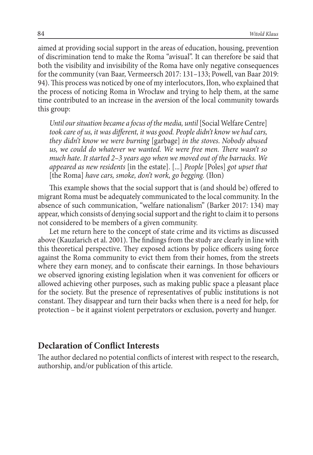aimed at providing social support in the areas of education, housing, prevention of discrimination tend to make the Roma "avisual". It can therefore be said that both the visibility and invisibility of the Roma have only negative consequences for the community (van Baar, Vermeersch 2017: 131–133; Powell, van Baar 2019: 94). This process was noticed by one of my interlocutors, Iłon, who explained that the process of noticing Roma in Wrocław and trying to help them, at the same time contributed to an increase in the aversion of the local community towards this group:

*Until our situation became a focus of the media, until* [Social Welfare Centre] *took care of us, it was different, it was good. People didn't know we had cars, they didn't know we were burning* [garbage] *in the stoves*. *Nobody abused us, we could do whatever we wanted. We were free men. There wasn't so much hate*. *It started 2–3 years ago when we moved out of the barracks. We appeared as new residents* [in the estate]. [...] *People* [Poles] *got upset that* [the Roma] *have cars, smoke, don't work, go begging.* (Iłon)

This example shows that the social support that is (and should be) offered to migrant Roma must be adequately communicated to the local community. In the absence of such communication, "welfare nationalism" (Barker 2017: 134) may appear, which consists of denying social support and the right to claim it to persons not considered to be members of a given community.

Let me return here to the concept of state crime and its victims as discussed above (Kauzlarich et al. 2001). The findings from the study are clearly in line with this theoretical perspective. They exposed actions by police officers using force against the Roma community to evict them from their homes, from the streets where they earn money, and to confiscate their earnings. In those behaviours we observed ignoring existing legislation when it was convenient for officers or allowed achieving other purposes, such as making public space a pleasant place for the society. But the presence of representatives of public institutions is not constant. They disappear and turn their backs when there is a need for help, for protection – be it against violent perpetrators or exclusion, poverty and hunger.

### **Declaration of Conflict Interests**

The author declared no potential conflicts of interest with respect to the research, authorship, and/or publication of this article.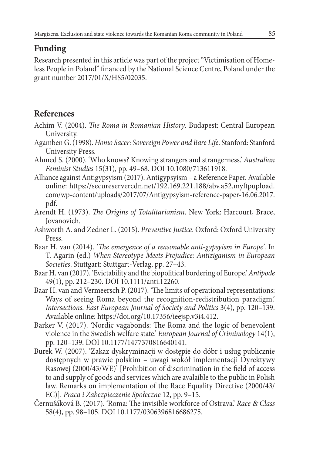# **Funding**

Research presented in this article was part of the project "Victimisation of Homeless People in Poland" financed by the National Science Centre, Poland under the grant number 2017/01/X/HS5/02035.

# **References**

- Achim V. (2004). *The Roma in Romanian History*. Budapest: Central European University.
- Agamben G. (1998). *Homo Sacer: Sovereign Power and Bare Life*. Stanford: Stanford University Press.
- Ahmed S. (2000). 'Who knows? Knowing strangers and strangerness.' *Australian Feminist Studies* 15(31), pp. 49–68. DOI 10.1080/713611918.
- Alliance against Antigypsyism (2017). Antigypsyism a Reference Paper. Available online: https://secureservercdn.net/192.169.221.188/abv.a52.myftpupload. com/wp-content/uploads/2017/07/Antigypsyism-reference-paper-16.06.2017. pdf.
- Arendt H. (1973). *The Origins of Totalitarianism*. New York: Harcourt, Brace, Jovanovich.
- Ashworth A. and Zedner L. (2015). *Preventive Justice*. Oxford: Oxford University Press.
- Baar H. van (2014). *'The emergence of a reasonable anti-gypsyism in Europe'*. In T. Agarin (ed.) *When Stereotype Meets Prejudice: Antiziganism in European Societies*. Stuttgart: Stuttgart-Verlag, pp. 27–43.
- Baar H. van (2017). 'Evictability and the biopolitical bordering of Europe.' *Antipode* 49(1), pp. 212–230. DOI 10.1111/anti.12260.
- Baar H. van and Vermeersch P. (2017). 'The limits of operational representations: Ways of seeing Roma beyond the recognition-redistribution paradigm.' *Intersections. East European Journal of Society and Politics* 3(4), pp. 120–139. Available online: https://doi.org/10.17356/ieejsp.v3i4.412.
- Barker V. (2017). 'Nordic vagabonds: The Roma and the logic of benevolent violence in the Swedish welfare state.' *European Journal of Criminology* 14(1), pp. 120–139. DOI 10.1177/1477370816640141.
- Burek W. (2007). 'Zakaz dyskryminacji w dostępie do dóbr i usług publicznie dostępnych w prawie polskim – uwagi wokół implementacji Dyrektywy Rasowej (2000/43/WE)' [Prohibition of discrimination in the field of access to and supply of goods and services which are avalaible to the public in Polish law. Remarks on implementation of the Race Equality Directive (2000/43/ EC)]. *Praca i Zabezpieczenie Społeczne* 12, pp. 9–15.
- Černušáková B. (2017). 'Roma: The invisible workforce of Ostrava.' *Race* & *Class* 58(4), pp. 98–105. DOI 10.1177/0306396816686275.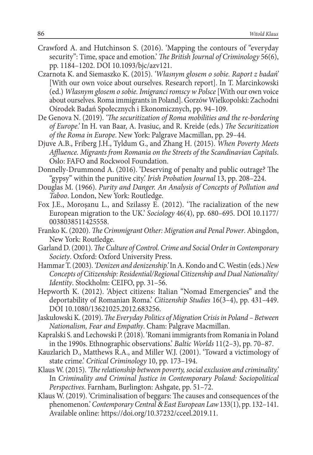- Crawford A. and Hutchinson S. (2016). 'Mapping the contours of "everyday security": Time, space and emotion.' *The British Journal of Criminology* 56(6), pp. 1184–1202. DOI 10.1093/bjc/azv121.
- Czarnota K. and Siemaszko K. (2015). *'Własnym głosem o sobie. Raport z badań'* [With our own voice about ourselves. Research report]. In T. Marcinkowski (ed.) *Własnym głosem o sobie. Imigranci romscy w Polsce* [With our own voice about ourselves. Roma immigrants in Poland]. Gorzów Wielkopolski: Zachodni Ośrodek Badań Społecznych i Ekonomicznych, pp. 94–109.
- De Genova N. (2019). *'The securitization of Roma mobilities and the re-bordering of Europe.'* In H. van Baar, A. Ivasiuc, and R. Kreide (eds.) *The Securitization of the Roma in Europe*. New York: Palgrave Macmillan, pp. 29–44.
- Djuve A.B., Friberg J.H., Tyldum G., and Zhang H. (2015). *When Poverty Meets Affluence. Migrants from Romania on the Streets of the Scandinavian Capitals*. Oslo: FAFO and Rockwool Foundation.
- Donnelly-Drummond A. (2016). 'Deserving of penalty and public outrage? The "gypsy" within the punitive city.' *Irish Probation Journal* 13, pp. 208–224.
- Douglas M. (1966). *Purity and Danger. An Analysis of Concepts of Pollution and Taboo*. London, New York: Routledge.
- Fox J.E., Moroşanu L., and Szilassy E. (2012). 'The racialization of the new European migration to the UK.' *Sociology* 46(4), pp. 680–695. DOI 10.1177/ 0038038511425558.
- Franko K. (2020). *The Crimmigrant Other: Migration and Penal Power*. Abingdon, New York: Routledge.
- Garland D. (2001). *The Culture of Control. Crime and Social Order in Contemporary Society*. Oxford: Oxford University Press.
- Hammar T. (2003). *'Denizen and denizenship.'* In A. Kondo and C. Westin (eds.) *New Concepts of Citizenship: Residential/Regional Citizenship and Dual Nationality/ Identity*. Stockholm: CEIFO, pp. 31–56.
- Hepworth K. (2012). 'Abject citizens: Italian "Nomad Emergencies" and the deportability of Romanian Roma.' *Citizenship Studies* 16(3–4), pp. 431–449. DOI 10.1080/13621025.2012.683256.
- Jaskułowski K. (2019). *The Everyday Politics of Migration Crisis in Poland Between Nationalism, Fear and Empathy*. Cham: Palgrave Macmillan.
- Kapralski S. and Lechowski P. (2018). 'Romani immigrants from Romania in Poland in the 1990s. Ethnographic observations.' *Baltic Worlds* 11(2–3), pp. 70–87.
- Kauzlarich D., Matthews R.A., and Miller W.J. (2001). 'Toward a victimology of state crime.' *Critical Criminology* 10, pp. 173–194.
- Klaus W. (2015). *'The relationship between poverty, social exclusion and criminality.'* In *Criminality and Criminal Justice in Contemporary Poland: Sociopolitical Perspectives*. Farnham, Burlington: Ashgate, pp. 51–72.
- Klaus W. (2019). 'Criminalisation of beggars: The causes and consequences of the phenomenon.' *Contemporary Central* & *East European Law* 133(1), pp. 132–141. Available online: https://doi.org/10.37232/cceel.2019.11.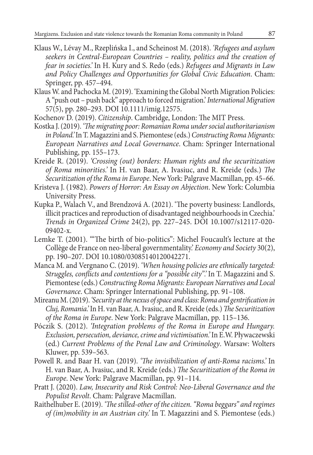- Klaus W., Lévay M., Rzeplińska I., and Scheinost M. (2018). *'Refugees and asylum seekers in Central-European Countries – reality, politics and the creation of fear in societies.'* In H. Kury and S. Redo (eds.) *Refugees and Migrants in Law and Policy Challenges and Opportunities for Global Civic Education*. Cham: Springer, pp. 457–494.
- Klaus W. and Pachocka M. (2019). 'Examining the Global North Migration Policies: A "push out – push back" approach to forced migration.' *International Migration* 57(5), pp. 280–293. DOI 10.1111/imig.12575.
- Kochenov D. (2019). *Citizenship*. Cambridge, London: The MIT Press.
- Kostka J. (2019). *'The migrating poor: Romanian Roma under social authoritarianism in Poland.'* In T. Magazzini and S. Piemontese (eds.) *Constructing Roma Migrants: European Narratives and Local Governance*. Cham: Springer International Publishing, pp. 155–173.
- Kreide R. (2019). *'Crossing (out) borders: Human rights and the securitization of Roma minorities.'* In H. van Baar, A. Ivasiuc, and R. Kreide (eds.) *The Securitization of the Roma in Europe*. New York: Palgrave Macmillan, pp. 45–66.
- Kristeva J. (1982). *Powers of Horror: An Essay on Abjection*. New York: Columbia University Press.
- Kupka P., Walach V., and Brendzová A. (2021). 'The poverty business: Landlords, illicit practices and reproduction of disadvantaged neighbourhoods in Czechia.' *Trends in Organized Crime* 24(2), pp. 227–245. DOI 10.1007/s12117-020- 09402-x.
- Lemke T. (2001). '"The birth of bio-politics": Michel Foucault's lecture at the Collège de France on neo-liberal governmentality.' *Economy and Society* 30(2), pp. 190–207. DOI 10.1080/03085140120042271.
- Manca M. and Vergnano C. (2019). *'When housing policies are ethnically targeted: Struggles, conflicts and contentions for a "possible city".'* In T. Magazzini and S. Piemontese (eds.) *Constructing Roma Migrants: European Narratives and Local Governance*. Cham: Springer International Publishing, pp. 91–108.
- Mireanu M. (2019). *'Security at the nexus of space and class: Roma and gentrification in Cluj, Romania.'* In H. van Baar, A. Ivasiuc, and R. Kreide (eds.) *The Securitization of the Roma in Europe*. New York: Palgrave Macmillan, pp. 115–136.
- Póczik S. (2012). *'Integration problems of the Roma in Europe and Hungary. Exclusion, persecution, deviance, crime and victimisation.'* In E.W. Pływaczewski (ed.) *Current Problems of the Penal Law and Criminology*. Warsaw: Wolters Kluwer, pp. 539–563.
- Powell R. and Baar H. van (2019). *'The invisibilization of anti-Roma racisms.'* In H. van Baar, A. Ivasiuc, and R. Kreide (eds.) *The Securitization of the Roma in Europe*. New York: Palgrave Macmillan, pp. 91–114.
- Pratt J. (2020). *Law, Insecurity and Risk Control: Neo-Liberal Governance and the Populist Revolt*. Cham: Palgrave Macmillan.
- Raithelhuber E. (2019). *'The stilled-other of the citizen. "Roma beggars" and regimes of (im)mobility in an Austrian city.'* In T. Magazzini and S. Piemontese (eds.)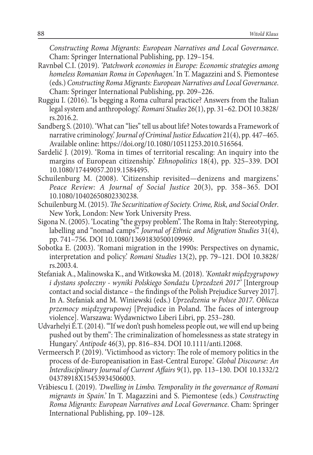*Constructing Roma Migrants: European Narratives and Local Governance*. Cham: Springer International Publishing, pp. 129–154.

- Ravnbøl C.I. (2019). *'Patchwork economies in Europe: Economic strategies among homeless Romanian Roma in Copenhagen.'* In T. Magazzini and S. Piemontese (eds.) *Constructing Roma Migrants: European Narratives and Local Governance*. Cham: Springer International Publishing, pp. 209–226.
- Ruggiu I. (2016). 'Is begging a Roma cultural practice? Answers from the Italian legal system and anthropology.' *Romani Studies* 26(1), pp. 31–62. DOI 10.3828/ rs.2016.2.
- Sandberg S. (2010). 'What can "lies" tell us about life? Notes towards a Framework of narrative criminology.' *Journal of Criminal Justice Education* 21(4), pp. 447–465. Available online: https://doi.org/10.1080/10511253.2010.516564.
- Sardelić J. (2019). 'Roma in times of territorial rescaling: An inquiry into the margins of European citizenship.' *Ethnopolitics* 18(4), pp. 325–339. DOI 10.1080/17449057.2019.1584495.
- Schuilenburg M. (2008). 'Citizenship revisited—denizens and margizens.' *Peace Review: A Journal of Social Justice* 20(3), pp. 358–365. DOI 10.1080/10402650802330238.
- Schuilenburg M. (2015). *The Securitization of Society. Crime, Risk, and Social Order*. New York, London: New York University Press.
- Sigona N. (2005). 'Locating "the gypsy problem". The Roma in Italy: Stereotyping, labelling and "nomad camps".' *Journal of Ethnic and Migration Studies* 31(4), pp. 741–756. DOI 10.1080/13691830500109969.
- Sobotka E. (2003). 'Romani migration in the 1990s: Perspectives on dynamic, interpretation and policy.' *Romani Studies* 13(2), pp. 79–121. DOI 10.3828/ rs.2003.4.
- Stefaniak A., Malinowska K., and Witkowska M. (2018). *'Kontakt międzygrupowy i dystans społeczny - wyniki Polskiego Sondażu Uprzedzeń 2017'* [Intergroup contact and social distance – the findings of the Polish Prejudice Survey 2017]. In A. Stefaniak and M. Winiewski (eds.) *Uprzedzenia w Polsce 2017. Oblicza przemocy międzygrupowej* [Prejudice in Poland. The faces of intergroup violence]. Warszawa: Wydawnictwo Liberi Libri, pp. 253–280.
- Udvarhelyi É.T. (2014). '"If we don't push homeless people out, we will end up being pushed out by them": The criminalization of homelessness as state strategy in Hungary.' *Antipode* 46(3), pp. 816–834. DOI 10.1111/anti.12068.
- Vermeersch P. (2019). 'Victimhood as victory: The role of memory politics in the process of de-Europeanisation in East-Central Europe.' *Global Discourse: An Interdisciplinary Journal of Current Affairs* 9(1), pp. 113–130. DOI 10.1332/2 04378918X15453934506003.
- Vrăbiescu I. (2019). *'Dwelling in Limbo. Temporality in the governance of Romani migrants in Spain.'* In T. Magazzini and S. Piemontese (eds.) *Constructing Roma Migrants: European Narratives and Local Governance*. Cham: Springer International Publishing, pp. 109–128.